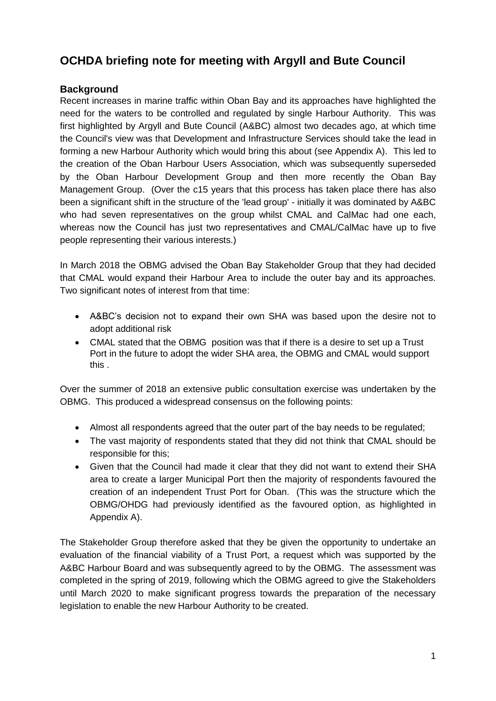# **OCHDA briefing note for meeting with Argyll and Bute Council**

#### **Background**

Recent increases in marine traffic within Oban Bay and its approaches have highlighted the need for the waters to be controlled and regulated by single Harbour Authority. This was first highlighted by Argyll and Bute Council (A&BC) almost two decades ago, at which time the Council's view was that Development and Infrastructure Services should take the lead in forming a new Harbour Authority which would bring this about (see Appendix A). This led to the creation of the Oban Harbour Users Association, which was subsequently superseded by the Oban Harbour Development Group and then more recently the Oban Bay Management Group. (Over the c15 years that this process has taken place there has also been a significant shift in the structure of the 'lead group' - initially it was dominated by A&BC who had seven representatives on the group whilst CMAL and CalMac had one each, whereas now the Council has just two representatives and CMAL/CalMac have up to five people representing their various interests.)

In March 2018 the OBMG advised the Oban Bay Stakeholder Group that they had decided that CMAL would expand their Harbour Area to include the outer bay and its approaches. Two significant notes of interest from that time:

- A&BC's decision not to expand their own SHA was based upon the desire not to adopt additional risk
- CMAL stated that the OBMG position was that if there is a desire to set up a Trust Port in the future to adopt the wider SHA area, the OBMG and CMAL would support this .

Over the summer of 2018 an extensive public consultation exercise was undertaken by the OBMG. This produced a widespread consensus on the following points:

- Almost all respondents agreed that the outer part of the bay needs to be regulated;
- The vast majority of respondents stated that they did not think that CMAL should be responsible for this;
- Given that the Council had made it clear that they did not want to extend their SHA area to create a larger Municipal Port then the majority of respondents favoured the creation of an independent Trust Port for Oban. (This was the structure which the OBMG/OHDG had previously identified as the favoured option, as highlighted in Appendix A).

The Stakeholder Group therefore asked that they be given the opportunity to undertake an evaluation of the financial viability of a Trust Port, a request which was supported by the A&BC Harbour Board and was subsequently agreed to by the OBMG. The assessment was completed in the spring of 2019, following which the OBMG agreed to give the Stakeholders until March 2020 to make significant progress towards the preparation of the necessary legislation to enable the new Harbour Authority to be created.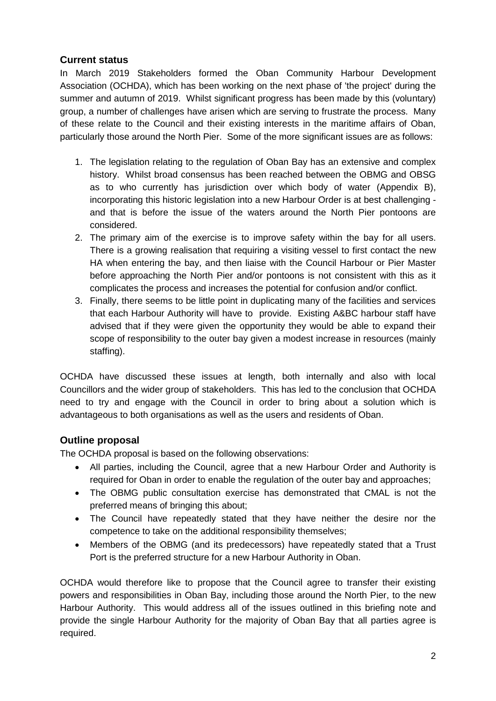#### **Current status**

In March 2019 Stakeholders formed the Oban Community Harbour Development Association (OCHDA), which has been working on the next phase of 'the project' during the summer and autumn of 2019. Whilst significant progress has been made by this (voluntary) group, a number of challenges have arisen which are serving to frustrate the process. Many of these relate to the Council and their existing interests in the maritime affairs of Oban, particularly those around the North Pier. Some of the more significant issues are as follows:

- 1. The legislation relating to the regulation of Oban Bay has an extensive and complex history. Whilst broad consensus has been reached between the OBMG and OBSG as to who currently has jurisdiction over which body of water (Appendix B), incorporating this historic legislation into a new Harbour Order is at best challenging and that is before the issue of the waters around the North Pier pontoons are considered.
- 2. The primary aim of the exercise is to improve safety within the bay for all users. There is a growing realisation that requiring a visiting vessel to first contact the new HA when entering the bay, and then liaise with the Council Harbour or Pier Master before approaching the North Pier and/or pontoons is not consistent with this as it complicates the process and increases the potential for confusion and/or conflict.
- 3. Finally, there seems to be little point in duplicating many of the facilities and services that each Harbour Authority will have to provide. Existing A&BC harbour staff have advised that if they were given the opportunity they would be able to expand their scope of responsibility to the outer bay given a modest increase in resources (mainly staffing).

OCHDA have discussed these issues at length, both internally and also with local Councillors and the wider group of stakeholders. This has led to the conclusion that OCHDA need to try and engage with the Council in order to bring about a solution which is advantageous to both organisations as well as the users and residents of Oban.

## **Outline proposal**

The OCHDA proposal is based on the following observations:

- All parties, including the Council, agree that a new Harbour Order and Authority is required for Oban in order to enable the regulation of the outer bay and approaches;
- The OBMG public consultation exercise has demonstrated that CMAL is not the preferred means of bringing this about;
- The Council have repeatedly stated that they have neither the desire nor the competence to take on the additional responsibility themselves;
- Members of the OBMG (and its predecessors) have repeatedly stated that a Trust Port is the preferred structure for a new Harbour Authority in Oban.

OCHDA would therefore like to propose that the Council agree to transfer their existing powers and responsibilities in Oban Bay, including those around the North Pier, to the new Harbour Authority. This would address all of the issues outlined in this briefing note and provide the single Harbour Authority for the majority of Oban Bay that all parties agree is required.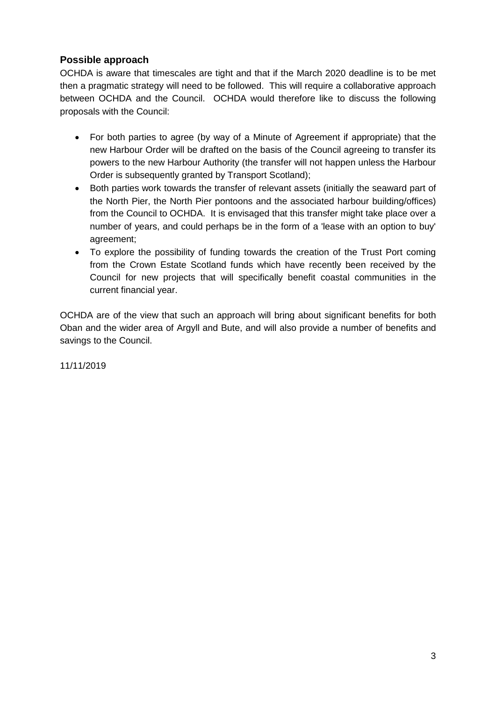### **Possible approach**

OCHDA is aware that timescales are tight and that if the March 2020 deadline is to be met then a pragmatic strategy will need to be followed. This will require a collaborative approach between OCHDA and the Council. OCHDA would therefore like to discuss the following proposals with the Council:

- For both parties to agree (by way of a Minute of Agreement if appropriate) that the new Harbour Order will be drafted on the basis of the Council agreeing to transfer its powers to the new Harbour Authority (the transfer will not happen unless the Harbour Order is subsequently granted by Transport Scotland);
- Both parties work towards the transfer of relevant assets (initially the seaward part of the North Pier, the North Pier pontoons and the associated harbour building/offices) from the Council to OCHDA. It is envisaged that this transfer might take place over a number of years, and could perhaps be in the form of a 'lease with an option to buy' agreement;
- To explore the possibility of funding towards the creation of the Trust Port coming from the Crown Estate Scotland funds which have recently been received by the Council for new projects that will specifically benefit coastal communities in the current financial year.

OCHDA are of the view that such an approach will bring about significant benefits for both Oban and the wider area of Argyll and Bute, and will also provide a number of benefits and savings to the Council.

11/11/2019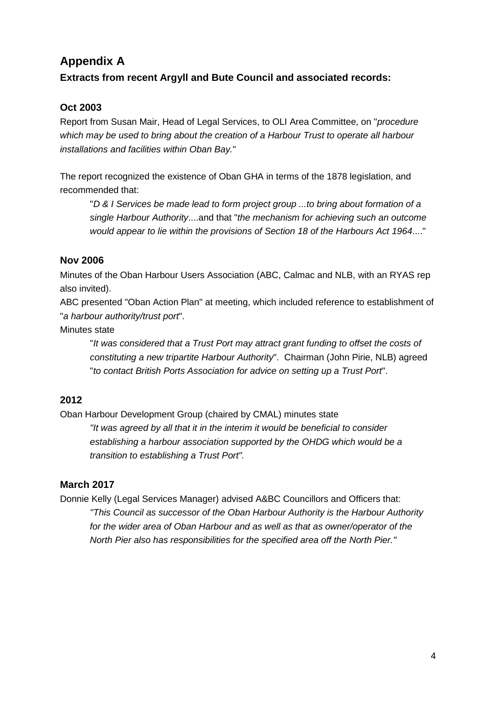## **Appendix A**

### **Extracts from recent Argyll and Bute Council and associated records:**

### **Oct 2003**

Report from Susan Mair, Head of Legal Services, to OLI Area Committee, on "*procedure which may be used to bring about the creation of a Harbour Trust to operate all harbour installations and facilities within Oban Bay.*"

The report recognized the existence of Oban GHA in terms of the 1878 legislation, and recommended that:

"*D & I Services be made lead to form project group ...to bring about formation of a single Harbour Authority*....and that "*the mechanism for achieving such an outcome would appear to lie within the provisions of Section 18 of the Harbours Act 1964*...."

#### **Nov 2006**

Minutes of the Oban Harbour Users Association (ABC, Calmac and NLB, with an RYAS rep also invited).

ABC presented "Oban Action Plan" at meeting, which included reference to establishment of "*a harbour authority/trust port*".

Minutes state

"*It was considered that a Trust Port may attract grant funding to offset the costs of constituting a new tripartite Harbour Authority*". Chairman (John Pirie, NLB) agreed "*to contact British Ports Association for advice on setting up a Trust Port*".

#### **2012**

Oban Harbour Development Group (chaired by CMAL) minutes state

*"It was agreed by all that it in the interim it would be beneficial to consider establishing a harbour association supported by the OHDG which would be a transition to establishing a Trust Port".*

#### **March 2017**

Donnie Kelly (Legal Services Manager) advised A&BC Councillors and Officers that: *"This Council as successor of the Oban Harbour Authority is the Harbour Authority for the wider area of Oban Harbour and as well as that as owner/operator of the North Pier also has responsibilities for the specified area off the North Pier."*